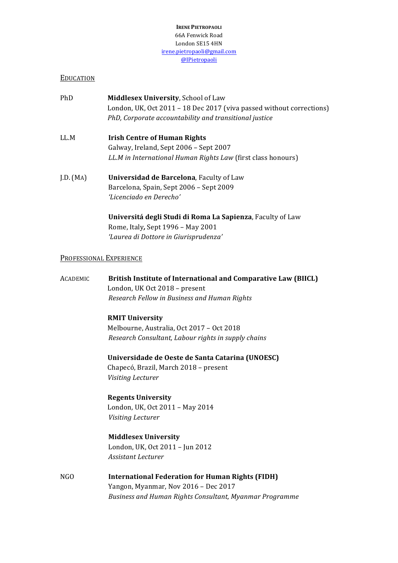#### **IRENE PIETROPAOLI** 66A Fenwick Road London SE15 4HN irene.pietropaoli@gmail.com @IPietropaoli

# EDUCATION

- PhD **Middlesex University**, School of Law London, UK, Oct  $2011 - 18$  Dec  $2017$  (viva passed without corrections) PhD, Corporate accountability and transitional justice
- LL.M **Irish Centre of Human Rights** Galway, Ireland, Sept 2006 - Sept 2007 *LL.M* in International Human Rights Law (first class honours)
- J.D. (MA) **Universidad de Barcelona**, Faculty of Law Barcelona, Spain, Sept 2006 - Sept 2009 *'Licenciado en Derecho'*

**Universitá degli Studi di Roma La Sapienza**, Faculty of Law Rome, Italy, Sept 1996 - May 2001 *'Laurea di Dottore in Giurisprudenza'*

## PROFESSIONAL EXPERIENCE

| <b>ACADEMIC</b> | British Institute of International and Comparative Law (BIICL) |
|-----------------|----------------------------------------------------------------|
|                 | London, UK Oct 2018 - present                                  |
|                 | Research Fellow in Business and Human Rights                   |
|                 | <b>RMIT University</b>                                         |
|                 | Melbourne, Australia, Oct 2017 - Oct 2018                      |
|                 | Research Consultant, Labour rights in supply chains            |
|                 | Universidade de Oeste de Santa Catarina (UNOESC)               |
|                 | Chapecó, Brazil, March 2018 - present                          |
|                 | Visiting Lecturer                                              |
|                 | <b>Regents University</b>                                      |
|                 | London, UK, Oct 2011 - May 2014                                |
|                 | Visiting Lecturer                                              |
|                 | <b>Middlesex University</b>                                    |
|                 | London, UK, Oct 2011 - Jun 2012                                |
|                 | <b>Assistant Lecturer</b>                                      |
| NGO             | <b>International Federation for Human Rights (FIDH)</b>        |
|                 | Yangon, Myanmar, Nov 2016 - Dec 2017                           |
|                 | Business and Human Rights Consultant, Myanmar Programme        |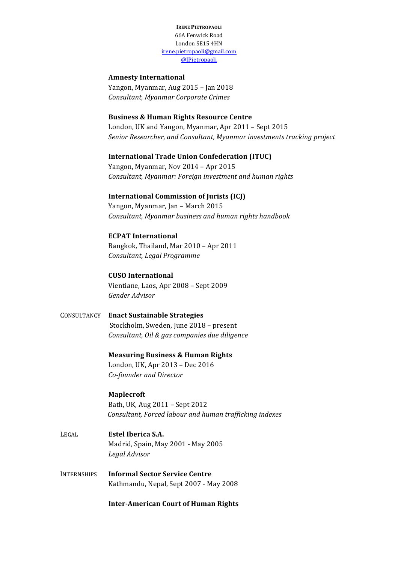**IRENE PIETROPAOLI** 66A Fenwick Road London SE15 4HN irene.pietropaoli@gmail.com @IPietropaoli

# **Amnesty International**

Yangon, Myanmar, Aug 2015 - Jan 2018 *Consultant, Myanmar Corporate Crimes*

## **Business & Human Rights Resource Centre**

London, UK and Yangon, Myanmar, Apr 2011 - Sept 2015 *Senior Researcher, and Consultant, Myanmar investments tracking project* 

#### **International Trade Union Confederation (ITUC)**

Yangon, Myanmar, Nov 2014 - Apr 2015 *Consultant, Myanmar: Foreign investment and human rights*

#### **International Commission of Jurists (ICJ)**

Yangon, Myanmar, Jan - March 2015 *Consultant, Myanmar business and human rights handbook*

## **ECPAT International**

Bangkok, Thailand, Mar 2010 - Apr 2011 *Consultant, Legal Programme*

**CUSO International** Vientiane, Laos, Apr 2008 - Sept 2009 *Gender Advisor*

CONSULTANCY **Enact Sustainable Strategies** Stockholm, Sweden, June 2018 - present *Consultant, Oil & gas companies due diligence* 

> **Measuring Business & Human Rights** London, UK, Apr 2013 - Dec 2016 *Co-founder and Director*

#### **Maplecroft**

Bath, UK, Aug 2011 – Sept 2012 *Consultant, Forced labour and human trafficking indexes*

- LEGAL **Estel Iberica S.A.** Madrid, Spain, May 2001 - May 2005 *Legal Advisor*
- **INTERNSHIPS Informal Sector Service Centre** Kathmandu, Nepal, Sept 2007 - May 2008

**Inter-American Court of Human Rights**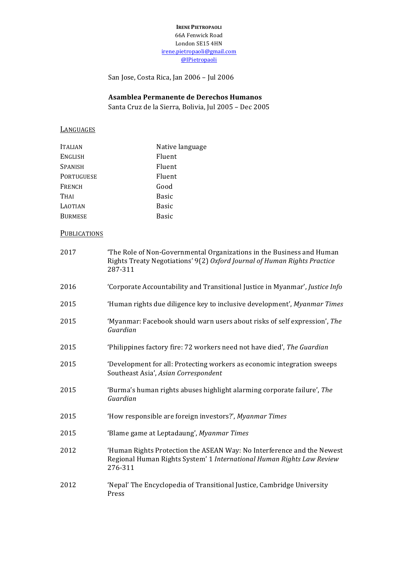**IRENE PIETROPAOLI** 66A Fenwick Road London SE15 4HN irene.pietropaoli@gmail.com @IPietropaoli

San Jose, Costa Rica, Jan 2006 - Jul 2006

## **Asamblea Permanente de Derechos Humanos**

Santa Cruz de la Sierra, Bolivia, Jul 2005 - Dec 2005

# **LANGUAGES**

| <b>ITALIAN</b>    | Native language |
|-------------------|-----------------|
| <b>ENGLISH</b>    | Fluent          |
| <b>SPANISH</b>    | Fluent          |
| <b>PORTUGUESE</b> | Fluent          |
| <b>FRENCH</b>     | Good            |
| <b>THAI</b>       | <b>Basic</b>    |
| <b>LAOTIAN</b>    | Basic           |
| <b>BURMESE</b>    | <b>Basic</b>    |

# **PUBLICATIONS**

| 2017 | 'The Role of Non-Governmental Organizations in the Business and Human<br>Rights Treaty Negotiations' 9(2) Oxford Journal of Human Rights Practice<br>287-311 |
|------|--------------------------------------------------------------------------------------------------------------------------------------------------------------|
| 2016 | 'Corporate Accountability and Transitional Justice in Myanmar', Justice Info                                                                                 |
| 2015 | 'Human rights due diligence key to inclusive development', Myanmar Times                                                                                     |
| 2015 | 'Myanmar: Facebook should warn users about risks of self expression', The<br>Guardian                                                                        |
| 2015 | 'Philippines factory fire: 72 workers need not have died', The Guardian                                                                                      |
| 2015 | 'Development for all: Protecting workers as economic integration sweeps<br>Southeast Asia', Asian Correspondent                                              |
| 2015 | 'Burma's human rights abuses highlight alarming corporate failure', The<br>Guardian                                                                          |
| 2015 | 'How responsible are foreign investors?', Myanmar Times                                                                                                      |
| 2015 | 'Blame game at Leptadaung', Myanmar Times                                                                                                                    |
| 2012 | 'Human Rights Protection the ASEAN Way: No Interference and the Newest<br>Regional Human Rights System' 1 International Human Rights Law Review<br>276-311   |
| 2012 | 'Nepal' The Encyclopedia of Transitional Justice, Cambridge University<br>Press                                                                              |